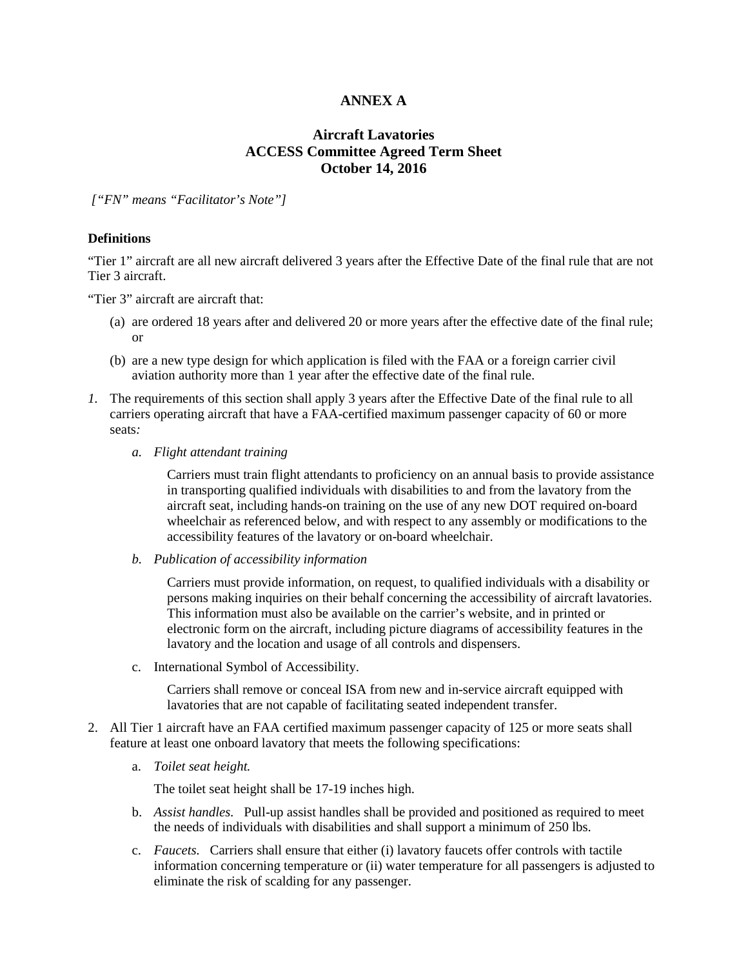# **ANNEX A**

# **Aircraft Lavatories ACCESS Committee Agreed Term Sheet October 14, 2016**

*["FN" means "Facilitator's Note"]* 

#### **Definitions**

"Tier 1" aircraft are all new aircraft delivered 3 years after the Effective Date of the final rule that are not Tier 3 aircraft.

"Tier 3" aircraft are aircraft that:

- (a) are ordered 18 years after and delivered 20 or more years after the effective date of the final rule; or
- (b) are a new type design for which application is filed with the FAA or a foreign carrier civil aviation authority more than 1 year after the effective date of the final rule.
- *1.* The requirements of this section shall apply 3 years after the Effective Date of the final rule to all carriers operating aircraft that have a FAA-certified maximum passenger capacity of 60 or more seats*:*
	- *a. Flight attendant training*

Carriers must train flight attendants to proficiency on an annual basis to provide assistance in transporting qualified individuals with disabilities to and from the lavatory from the aircraft seat, including hands-on training on the use of any new DOT required on-board wheelchair as referenced below, and with respect to any assembly or modifications to the accessibility features of the lavatory or on-board wheelchair.

*b. Publication of accessibility information*

Carriers must provide information, on request, to qualified individuals with a disability or persons making inquiries on their behalf concerning the accessibility of aircraft lavatories. This information must also be available on the carrier's website, and in printed or electronic form on the aircraft, including picture diagrams of accessibility features in the lavatory and the location and usage of all controls and dispensers.

c. International Symbol of Accessibility.

Carriers shall remove or conceal ISA from new and in-service aircraft equipped with lavatories that are not capable of facilitating seated independent transfer.

- 2. All Tier 1 aircraft have an FAA certified maximum passenger capacity of 125 or more seats shall feature at least one onboard lavatory that meets the following specifications:
	- a. *Toilet seat height.*

The toilet seat height shall be 17-19 inches high.

- b. *Assist handles.*Pull-up assist handles shall be provided and positioned as required to meet the needs of individuals with disabilities and shall support a minimum of 250 lbs.
- c. *Faucets.*Carriers shall ensure that either (i) lavatory faucets offer controls with tactile information concerning temperature or (ii) water temperature for all passengers is adjusted to eliminate the risk of scalding for any passenger.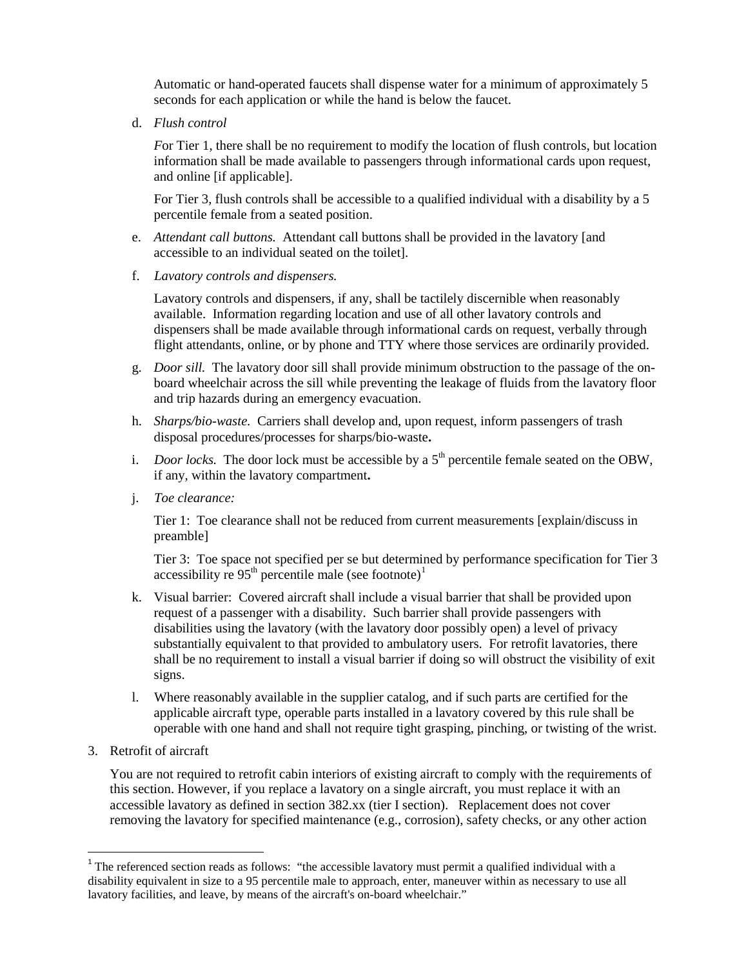Automatic or hand-operated faucets shall dispense water for a minimum of approximately 5 seconds for each application or while the hand is below the faucet.

d. *Flush control*

*For Tier 1, there shall be no requirement to modify the location of flush controls, but location* information shall be made available to passengers through informational cards upon request, and online [if applicable].

For Tier 3, flush controls shall be accessible to a qualified individual with a disability by a 5 percentile female from a seated position.

- e. *Attendant call buttons.* Attendant call buttons shall be provided in the lavatory [and accessible to an individual seated on the toilet].
- f. *Lavatory controls and dispensers.*

Lavatory controls and dispensers, if any, shall be tactilely discernible when reasonably available. Information regarding location and use of all other lavatory controls and dispensers shall be made available through informational cards on request, verbally through flight attendants, online, or by phone and TTY where those services are ordinarily provided.

- g. *Door sill.* The lavatory door sill shall provide minimum obstruction to the passage of the onboard wheelchair across the sill while preventing the leakage of fluids from the lavatory floor and trip hazards during an emergency evacuation.
- h. *Sharps/bio-waste.* Carriers shall develop and, upon request, inform passengers of trash disposal procedures/processes for sharps/bio-waste**.**
- i. *Door locks*. The door lock must be accessible by a  $5<sup>th</sup>$  percentile female seated on the OBW, if any, within the lavatory compartment**.**
- j. *Toe clearance:*

Tier 1: Toe clearance shall not be reduced from current measurements [explain/discuss in preamble]

Tier 3: Toe space not specified per se but determined by performance specification for Tier 3 accessibility re  $95<sup>th</sup>$  percentile male (see footnote)<sup>1</sup>

- k. Visual barrier: Covered aircraft shall include a visual barrier that shall be provided upon request of a passenger with a disability. Such barrier shall provide passengers with disabilities using the lavatory (with the lavatory door possibly open) a level of privacy substantially equivalent to that provided to ambulatory users. For retrofit lavatories, there shall be no requirement to install a visual barrier if doing so will obstruct the visibility of exit signs.
- l. Where reasonably available in the supplier catalog, and if such parts are certified for the applicable aircraft type, operable parts installed in a lavatory covered by this rule shall be operable with one hand and shall not require tight grasping, pinching, or twisting of the wrist.
- 3. Retrofit of aircraft

You are not required to retrofit cabin interiors of existing aircraft to comply with the requirements of this section. However, if you replace a lavatory on a single aircraft, you must replace it with an accessible lavatory as defined in section 382.xx (tier I section). Replacement does not cover removing the lavatory for specified maintenance (e.g., corrosion), safety checks, or any other action

<sup>&</sup>lt;sup>1</sup> The referenced section reads as follows: "the accessible lavatory must permit a qualified individual with a disability equivalent in size to a 95 percentile male to approach, enter, maneuver within as necessary to use all lavatory facilities, and leave, by means of the aircraft's on-board wheelchair."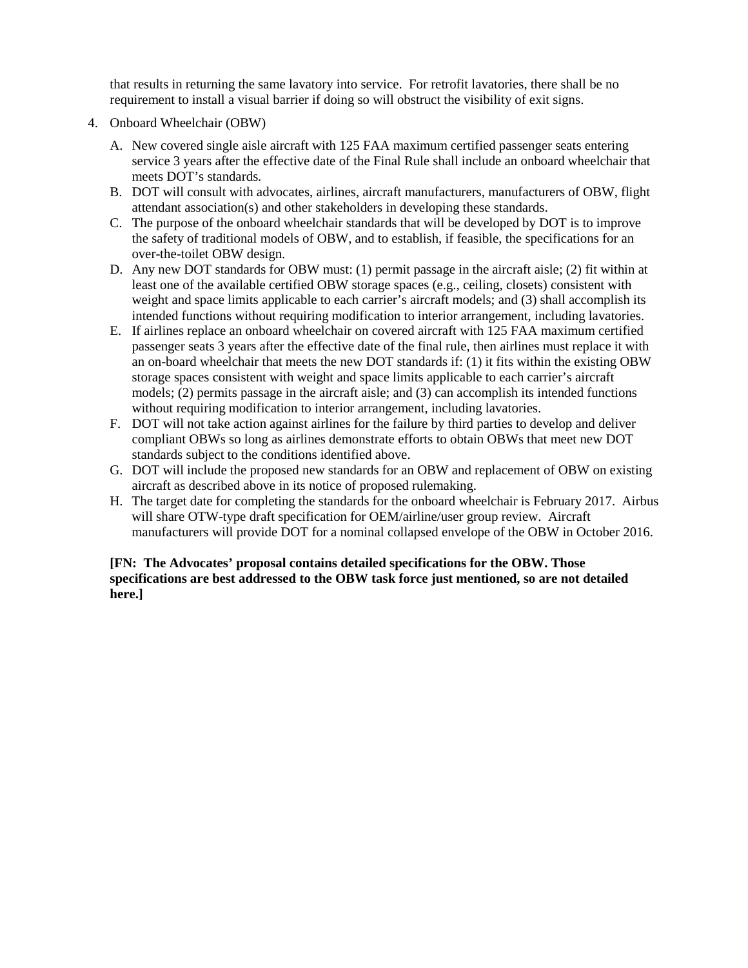that results in returning the same lavatory into service. For retrofit lavatories, there shall be no requirement to install a visual barrier if doing so will obstruct the visibility of exit signs.

- 4. Onboard Wheelchair (OBW)
	- A. New covered single aisle aircraft with 125 FAA maximum certified passenger seats entering service 3 years after the effective date of the Final Rule shall include an onboard wheelchair that meets DOT's standards.
	- B. DOT will consult with advocates, airlines, aircraft manufacturers, manufacturers of OBW, flight attendant association(s) and other stakeholders in developing these standards.
	- C. The purpose of the onboard wheelchair standards that will be developed by DOT is to improve the safety of traditional models of OBW, and to establish, if feasible, the specifications for an over-the-toilet OBW design.
	- D. Any new DOT standards for OBW must: (1) permit passage in the aircraft aisle; (2) fit within at least one of the available certified OBW storage spaces (e.g., ceiling, closets) consistent with weight and space limits applicable to each carrier's aircraft models; and (3) shall accomplish its intended functions without requiring modification to interior arrangement, including lavatories.
	- E. If airlines replace an onboard wheelchair on covered aircraft with 125 FAA maximum certified passenger seats 3 years after the effective date of the final rule, then airlines must replace it with an on-board wheelchair that meets the new DOT standards if: (1) it fits within the existing OBW storage spaces consistent with weight and space limits applicable to each carrier's aircraft models; (2) permits passage in the aircraft aisle; and (3) can accomplish its intended functions without requiring modification to interior arrangement, including lavatories.
	- F. DOT will not take action against airlines for the failure by third parties to develop and deliver compliant OBWs so long as airlines demonstrate efforts to obtain OBWs that meet new DOT standards subject to the conditions identified above.
	- G. DOT will include the proposed new standards for an OBW and replacement of OBW on existing aircraft as described above in its notice of proposed rulemaking.
	- H. The target date for completing the standards for the onboard wheelchair is February 2017. Airbus will share OTW-type draft specification for OEM/airline/user group review. Aircraft manufacturers will provide DOT for a nominal collapsed envelope of the OBW in October 2016.

### **[FN: The Advocates' proposal contains detailed specifications for the OBW. Those specifications are best addressed to the OBW task force just mentioned, so are not detailed here.]**